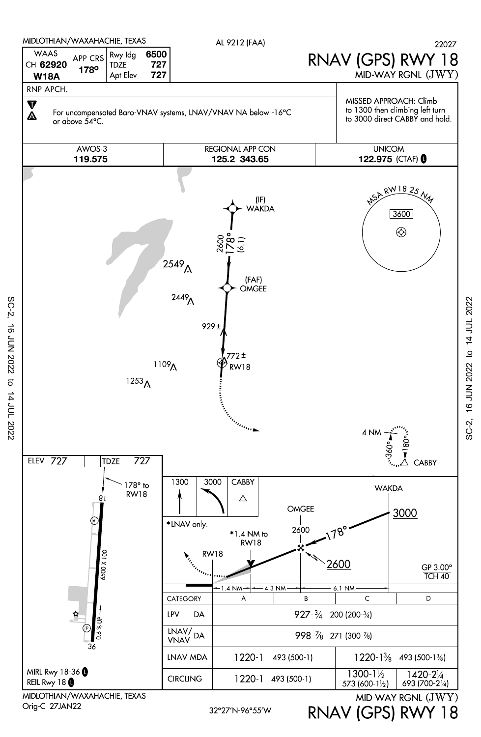

SC-2, 16 JUN 2022 to 14 JUL 2022

 $\vec{\sigma}$ 

14 JUL 2022

**16 JUN 2022** 

 $SC-2$